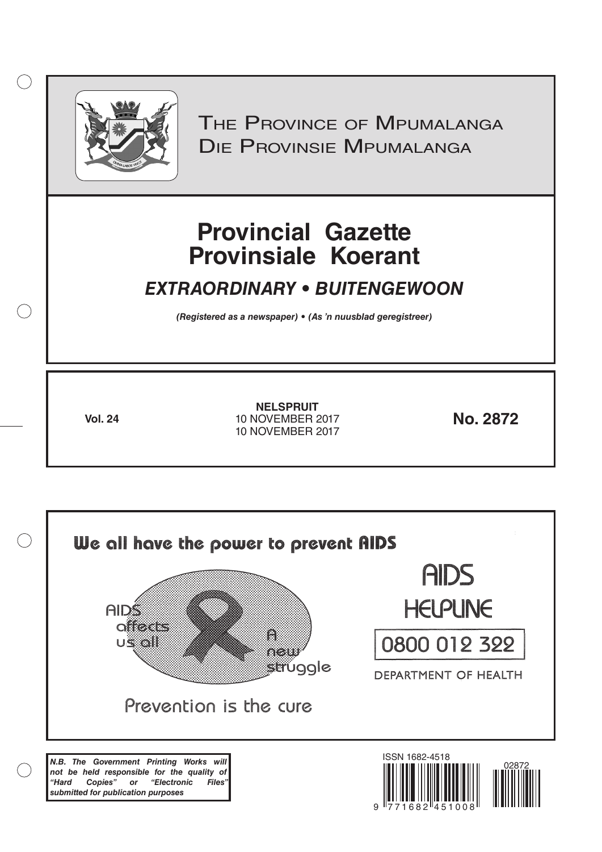

 $( )$ 

THE PROVINCE OF MPUMALANGA Die Provinsie Mpumalanga

# **Provincial Gazette Provinsiale Koerant**

# *EXTRAORDINARY • BUITENGEWOON*

*(Registered as a newspaper) • (As 'n nuusblad geregistreer)*

**Vol. 24 No. 2872** 10 NOVEMBER 2017 **NELSPRUIT** 10 NOVEMBER 2017

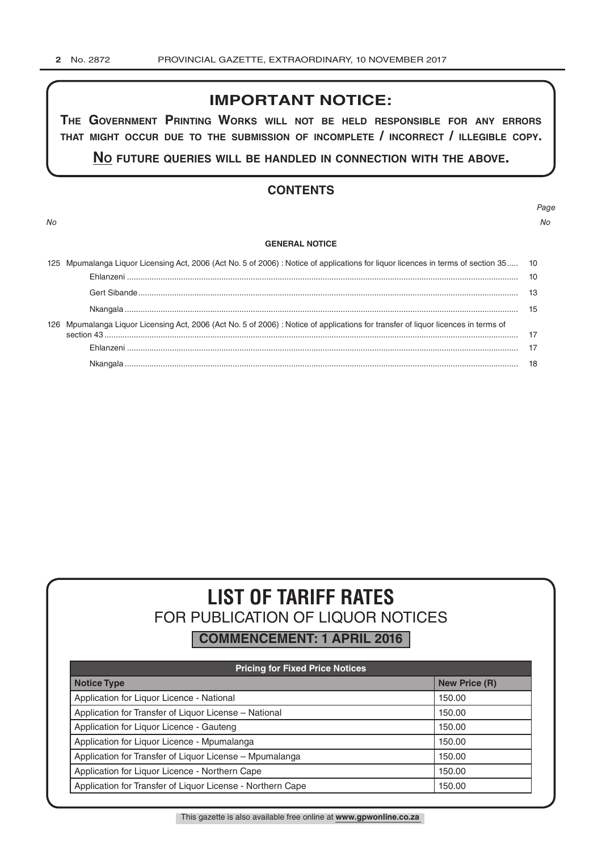# **IMPORTANT NOTICE:**

**The GovernmenT PrinTinG Works Will noT be held resPonsible for any errors ThaT miGhT occur due To The submission of incomPleTe / incorrecT / illeGible coPy.**

**no fuTure queries Will be handled in connecTion WiTh The above.**

# **CONTENTS**

*No No*

*Page*

#### **GENERAL NOTICE**

| 125 Mpumalanga Liquor Licensing Act, 2006 (Act No. 5 of 2006) : Notice of applications for liquor licences in terms of section 35 10 |    |
|--------------------------------------------------------------------------------------------------------------------------------------|----|
|                                                                                                                                      |    |
|                                                                                                                                      |    |
|                                                                                                                                      |    |
| 126 Mpumalanga Liquor Licensing Act, 2006 (Act No. 5 of 2006) : Notice of applications for transfer of liquor licences in terms of   |    |
|                                                                                                                                      |    |
|                                                                                                                                      | 18 |

# **LIST OF TARIFF RATES** FOR PUBLICATION OF LIQUOR NOTICES

**COMMENCEMENT: 1 APRIL 2016**

| <b>Pricing for Fixed Price Notices</b>                     |                      |  |  |  |
|------------------------------------------------------------|----------------------|--|--|--|
| <b>Notice Type</b>                                         | <b>New Price (R)</b> |  |  |  |
| Application for Liquor Licence - National                  | 150.00               |  |  |  |
| Application for Transfer of Liquor License - National      | 150.00               |  |  |  |
| Application for Liquor Licence - Gauteng                   | 150.00               |  |  |  |
| Application for Liquor Licence - Mpumalanga                | 150.00               |  |  |  |
| Application for Transfer of Liquor License - Mpumalanga    | 150.00               |  |  |  |
| Application for Liquor Licence - Northern Cape             | 150.00               |  |  |  |
| Application for Transfer of Liquor License - Northern Cape | 150.00               |  |  |  |

This gazette is also available free online at **www.gpwonline.co.za**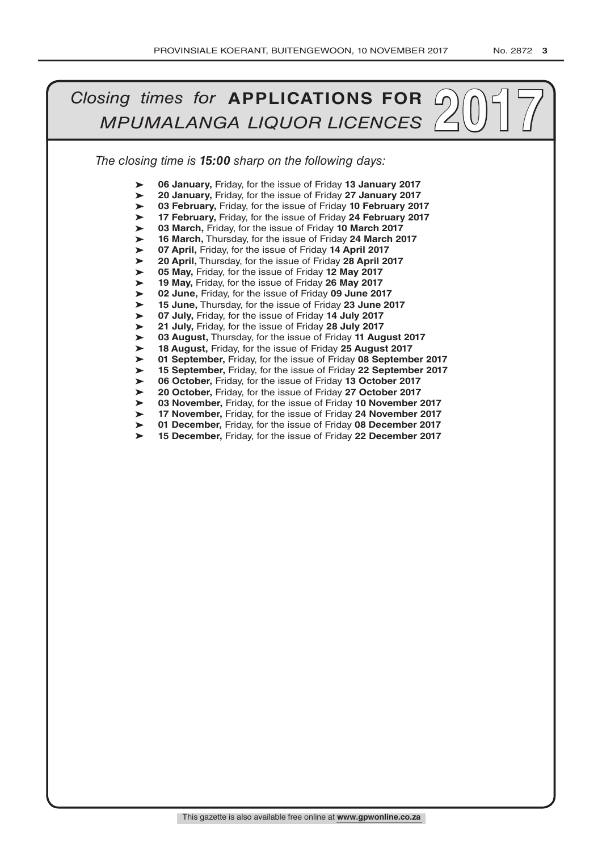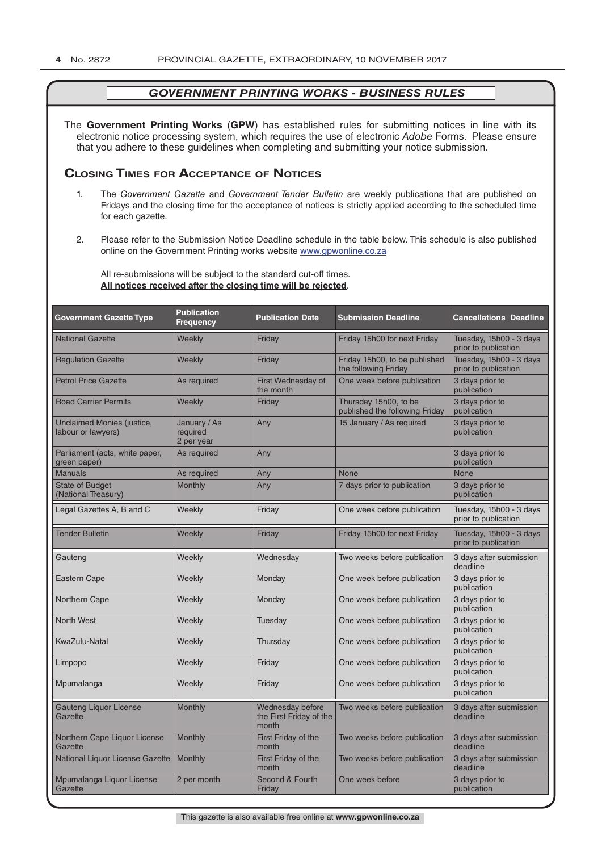The **Government Printing Works** (**GPW**) has established rules for submitting notices in line with its electronic notice processing system, which requires the use of electronic *Adobe* Forms. Please ensure that you adhere to these guidelines when completing and submitting your notice submission.

# **Closing Times for ACCepTAnCe of noTiCes**

- 1. The *Government Gazette* and *Government Tender Bulletin* are weekly publications that are published on Fridays and the closing time for the acceptance of notices is strictly applied according to the scheduled time for each gazette.
- 2. Please refer to the Submission Notice Deadline schedule in the table below. This schedule is also published online on the Government Printing works website www.gpwonline.co.za

All re-submissions will be subject to the standard cut-off times. **All notices received after the closing time will be rejected**.

| <b>Government Gazette Type</b>                          | <b>Publication</b><br><b>Frequency</b> | <b>Publication Date</b>                              | <b>Submission Deadline</b>                              | <b>Cancellations Deadline</b>                   |
|---------------------------------------------------------|----------------------------------------|------------------------------------------------------|---------------------------------------------------------|-------------------------------------------------|
| <b>National Gazette</b>                                 | Weekly                                 | Friday                                               | Friday 15h00 for next Friday                            | Tuesday, 15h00 - 3 days<br>prior to publication |
| <b>Regulation Gazette</b>                               | Weekly                                 | Friday                                               | Friday 15h00, to be published<br>the following Friday   | Tuesday, 15h00 - 3 days<br>prior to publication |
| <b>Petrol Price Gazette</b>                             | As required                            | First Wednesday of<br>the month                      | One week before publication                             | 3 days prior to<br>publication                  |
| <b>Road Carrier Permits</b>                             | Weekly                                 | Friday                                               | Thursday 15h00, to be<br>published the following Friday | 3 days prior to<br>publication                  |
| <b>Unclaimed Monies (justice,</b><br>labour or lawyers) | January / As<br>required<br>2 per year | Any                                                  | 15 January / As required                                | 3 days prior to<br>publication                  |
| Parliament (acts, white paper,<br>green paper)          | As required                            | Any                                                  |                                                         | 3 days prior to<br>publication                  |
| <b>Manuals</b>                                          | As required                            | Any                                                  | <b>None</b>                                             | <b>None</b>                                     |
| <b>State of Budget</b><br>(National Treasury)           | <b>Monthly</b>                         | Any                                                  | 7 days prior to publication                             | 3 days prior to<br>publication                  |
| Legal Gazettes A, B and C                               | Weekly                                 | Friday                                               | One week before publication                             | Tuesday, 15h00 - 3 days<br>prior to publication |
| <b>Tender Bulletin</b>                                  | Weekly                                 | Friday                                               | Friday 15h00 for next Friday                            | Tuesday, 15h00 - 3 days<br>prior to publication |
| Gauteng                                                 | Weekly                                 | Wednesday                                            | Two weeks before publication                            | 3 days after submission<br>deadline             |
| <b>Eastern Cape</b>                                     | Weekly                                 | Monday                                               | One week before publication                             | 3 days prior to<br>publication                  |
| <b>Northern Cape</b>                                    | Weekly                                 | Monday                                               | One week before publication                             | 3 days prior to<br>publication                  |
| <b>North West</b>                                       | Weekly                                 | Tuesday                                              | One week before publication                             | 3 days prior to<br>publication                  |
| KwaZulu-Natal                                           | Weekly                                 | Thursday                                             | One week before publication                             | 3 days prior to<br>publication                  |
| Limpopo                                                 | Weekly                                 | Friday                                               | One week before publication                             | 3 days prior to<br>publication                  |
| Mpumalanga                                              | Weekly                                 | Friday                                               | One week before publication                             | 3 days prior to<br>publication                  |
| <b>Gauteng Liquor License</b><br>Gazette                | Monthly                                | Wednesday before<br>the First Friday of the<br>month | Two weeks before publication                            | 3 days after submission<br>deadline             |
| Northern Cape Liquor License<br>Gazette                 | Monthly                                | First Friday of the<br>month                         | Two weeks before publication                            | 3 days after submission<br>deadline             |
| National Liquor License Gazette                         | Monthly                                | First Friday of the<br>month                         | Two weeks before publication                            | 3 days after submission<br>deadline             |
| Mpumalanga Liquor License<br>Gazette                    | 2 per month                            | Second & Fourth<br>Friday                            | One week before                                         | 3 days prior to<br>publication                  |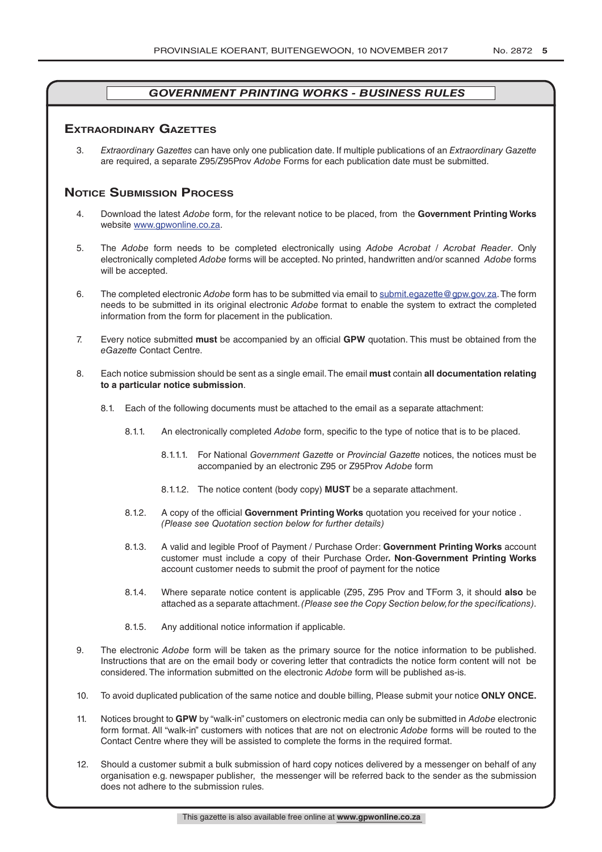# **exTrAordinAry gAzeTTes**

3. *Extraordinary Gazettes* can have only one publication date. If multiple publications of an *Extraordinary Gazette* are required, a separate Z95/Z95Prov *Adobe* Forms for each publication date must be submitted.

# **NOTICE SUBMISSION PROCESS**

- 4. Download the latest *Adobe* form, for the relevant notice to be placed, from the **Government Printing Works** website www.gpwonline.co.za.
- 5. The *Adobe* form needs to be completed electronically using *Adobe Acrobat* / *Acrobat Reader*. Only electronically completed *Adobe* forms will be accepted. No printed, handwritten and/or scanned *Adobe* forms will be accepted.
- 6. The completed electronic *Adobe* form has to be submitted via email to submit.egazette@gpw.gov.za. The form needs to be submitted in its original electronic *Adobe* format to enable the system to extract the completed information from the form for placement in the publication.
- 7. Every notice submitted **must** be accompanied by an official **GPW** quotation. This must be obtained from the *eGazette* Contact Centre.
- 8. Each notice submission should be sent as a single email. The email **must** contain **all documentation relating to a particular notice submission**.
	- 8.1. Each of the following documents must be attached to the email as a separate attachment:
		- 8.1.1. An electronically completed *Adobe* form, specific to the type of notice that is to be placed.
			- 8.1.1.1. For National *Government Gazette* or *Provincial Gazette* notices, the notices must be accompanied by an electronic Z95 or Z95Prov *Adobe* form
			- 8.1.1.2. The notice content (body copy) **MUST** be a separate attachment.
		- 8.1.2. A copy of the official **Government Printing Works** quotation you received for your notice . *(Please see Quotation section below for further details)*
		- 8.1.3. A valid and legible Proof of Payment / Purchase Order: **Government Printing Works** account customer must include a copy of their Purchase Order*.* **Non**-**Government Printing Works** account customer needs to submit the proof of payment for the notice
		- 8.1.4. Where separate notice content is applicable (Z95, Z95 Prov and TForm 3, it should **also** be attached as a separate attachment. *(Please see the Copy Section below, for the specifications)*.
		- 8.1.5. Any additional notice information if applicable.
- 9. The electronic *Adobe* form will be taken as the primary source for the notice information to be published. Instructions that are on the email body or covering letter that contradicts the notice form content will not be considered. The information submitted on the electronic *Adobe* form will be published as-is.
- 10. To avoid duplicated publication of the same notice and double billing, Please submit your notice **ONLY ONCE.**
- 11. Notices brought to **GPW** by "walk-in" customers on electronic media can only be submitted in *Adobe* electronic form format. All "walk-in" customers with notices that are not on electronic *Adobe* forms will be routed to the Contact Centre where they will be assisted to complete the forms in the required format.
- 12. Should a customer submit a bulk submission of hard copy notices delivered by a messenger on behalf of any organisation e.g. newspaper publisher, the messenger will be referred back to the sender as the submission does not adhere to the submission rules.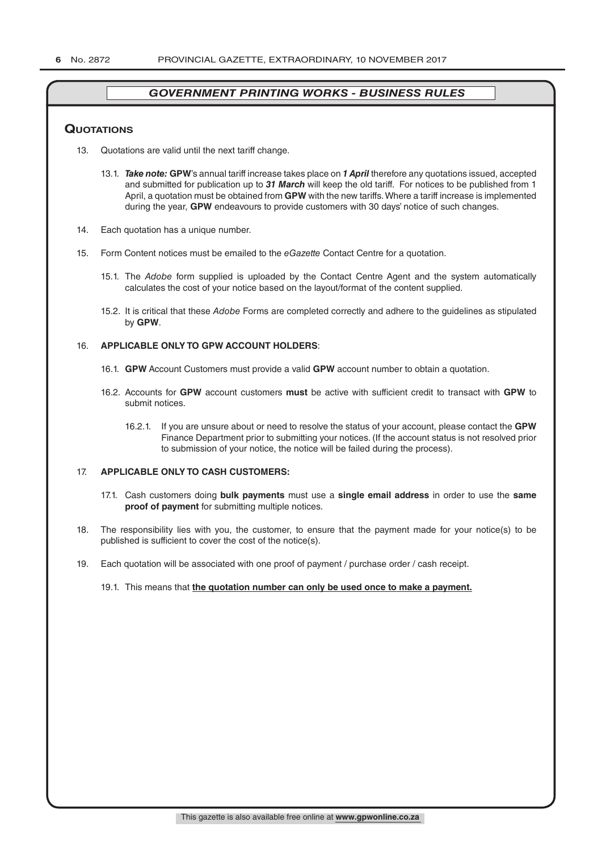#### **QuoTATions**

- 13. Quotations are valid until the next tariff change.
	- 13.1. *Take note:* **GPW**'s annual tariff increase takes place on *1 April* therefore any quotations issued, accepted and submitted for publication up to *31 March* will keep the old tariff. For notices to be published from 1 April, a quotation must be obtained from **GPW** with the new tariffs. Where a tariff increase is implemented during the year, **GPW** endeavours to provide customers with 30 days' notice of such changes.
- 14. Each quotation has a unique number.
- 15. Form Content notices must be emailed to the *eGazette* Contact Centre for a quotation.
	- 15.1. The *Adobe* form supplied is uploaded by the Contact Centre Agent and the system automatically calculates the cost of your notice based on the layout/format of the content supplied.
	- 15.2. It is critical that these *Adobe* Forms are completed correctly and adhere to the guidelines as stipulated by **GPW**.

#### 16. **APPLICABLE ONLY TO GPW ACCOUNT HOLDERS**:

- 16.1. **GPW** Account Customers must provide a valid **GPW** account number to obtain a quotation.
- 16.2. Accounts for **GPW** account customers **must** be active with sufficient credit to transact with **GPW** to submit notices.
	- 16.2.1. If you are unsure about or need to resolve the status of your account, please contact the **GPW** Finance Department prior to submitting your notices. (If the account status is not resolved prior to submission of your notice, the notice will be failed during the process).

#### 17. **APPLICABLE ONLY TO CASH CUSTOMERS:**

- 17.1. Cash customers doing **bulk payments** must use a **single email address** in order to use the **same proof of payment** for submitting multiple notices.
- 18. The responsibility lies with you, the customer, to ensure that the payment made for your notice(s) to be published is sufficient to cover the cost of the notice(s).
- 19. Each quotation will be associated with one proof of payment / purchase order / cash receipt.

#### 19.1. This means that **the quotation number can only be used once to make a payment.**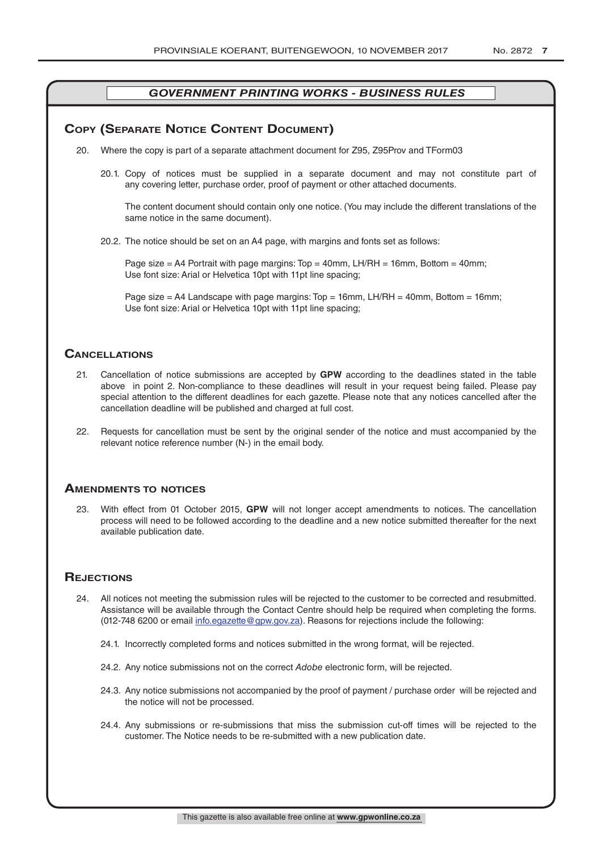# **COPY (SEPARATE NOTICE CONTENT DOCUMENT)**

- 20. Where the copy is part of a separate attachment document for Z95, Z95Prov and TForm03
	- 20.1. Copy of notices must be supplied in a separate document and may not constitute part of any covering letter, purchase order, proof of payment or other attached documents.

The content document should contain only one notice. (You may include the different translations of the same notice in the same document).

20.2. The notice should be set on an A4 page, with margins and fonts set as follows:

Page size  $=$  A4 Portrait with page margins: Top  $=$  40mm, LH/RH  $=$  16mm, Bottom  $=$  40mm; Use font size: Arial or Helvetica 10pt with 11pt line spacing;

Page size = A4 Landscape with page margins: Top = 16mm, LH/RH = 40mm, Bottom = 16mm; Use font size: Arial or Helvetica 10pt with 11pt line spacing;

### **CAnCellATions**

- 21. Cancellation of notice submissions are accepted by **GPW** according to the deadlines stated in the table above in point 2. Non-compliance to these deadlines will result in your request being failed. Please pay special attention to the different deadlines for each gazette. Please note that any notices cancelled after the cancellation deadline will be published and charged at full cost.
- 22. Requests for cancellation must be sent by the original sender of the notice and must accompanied by the relevant notice reference number (N-) in the email body.

#### **AmendmenTs To noTiCes**

23. With effect from 01 October 2015, **GPW** will not longer accept amendments to notices. The cancellation process will need to be followed according to the deadline and a new notice submitted thereafter for the next available publication date.

### **REJECTIONS**

- 24. All notices not meeting the submission rules will be rejected to the customer to be corrected and resubmitted. Assistance will be available through the Contact Centre should help be required when completing the forms. (012-748 6200 or email info.egazette@gpw.gov.za). Reasons for rejections include the following:
	- 24.1. Incorrectly completed forms and notices submitted in the wrong format, will be rejected.
	- 24.2. Any notice submissions not on the correct *Adobe* electronic form, will be rejected.
	- 24.3. Any notice submissions not accompanied by the proof of payment / purchase order will be rejected and the notice will not be processed.
	- 24.4. Any submissions or re-submissions that miss the submission cut-off times will be rejected to the customer. The Notice needs to be re-submitted with a new publication date.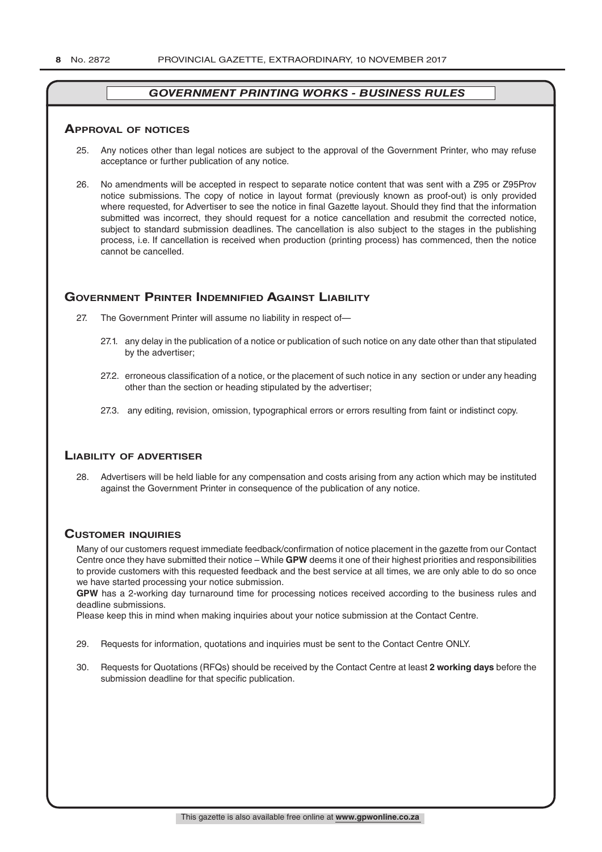#### **ApprovAl of noTiCes**

- 25. Any notices other than legal notices are subject to the approval of the Government Printer, who may refuse acceptance or further publication of any notice.
- 26. No amendments will be accepted in respect to separate notice content that was sent with a Z95 or Z95Prov notice submissions. The copy of notice in layout format (previously known as proof-out) is only provided where requested, for Advertiser to see the notice in final Gazette layout. Should they find that the information submitted was incorrect, they should request for a notice cancellation and resubmit the corrected notice, subject to standard submission deadlines. The cancellation is also subject to the stages in the publishing process, i.e. If cancellation is received when production (printing process) has commenced, then the notice cannot be cancelled.

# **governmenT prinTer indemnified AgAinsT liAbiliTy**

- 27. The Government Printer will assume no liability in respect of—
	- 27.1. any delay in the publication of a notice or publication of such notice on any date other than that stipulated by the advertiser;
	- 27.2. erroneous classification of a notice, or the placement of such notice in any section or under any heading other than the section or heading stipulated by the advertiser;
	- 27.3. any editing, revision, omission, typographical errors or errors resulting from faint or indistinct copy.

#### **liAbiliTy of AdverTiser**

28. Advertisers will be held liable for any compensation and costs arising from any action which may be instituted against the Government Printer in consequence of the publication of any notice.

#### **CusTomer inQuiries**

Many of our customers request immediate feedback/confirmation of notice placement in the gazette from our Contact Centre once they have submitted their notice – While **GPW** deems it one of their highest priorities and responsibilities to provide customers with this requested feedback and the best service at all times, we are only able to do so once we have started processing your notice submission.

**GPW** has a 2-working day turnaround time for processing notices received according to the business rules and deadline submissions.

Please keep this in mind when making inquiries about your notice submission at the Contact Centre.

- 29. Requests for information, quotations and inquiries must be sent to the Contact Centre ONLY.
- 30. Requests for Quotations (RFQs) should be received by the Contact Centre at least **2 working days** before the submission deadline for that specific publication.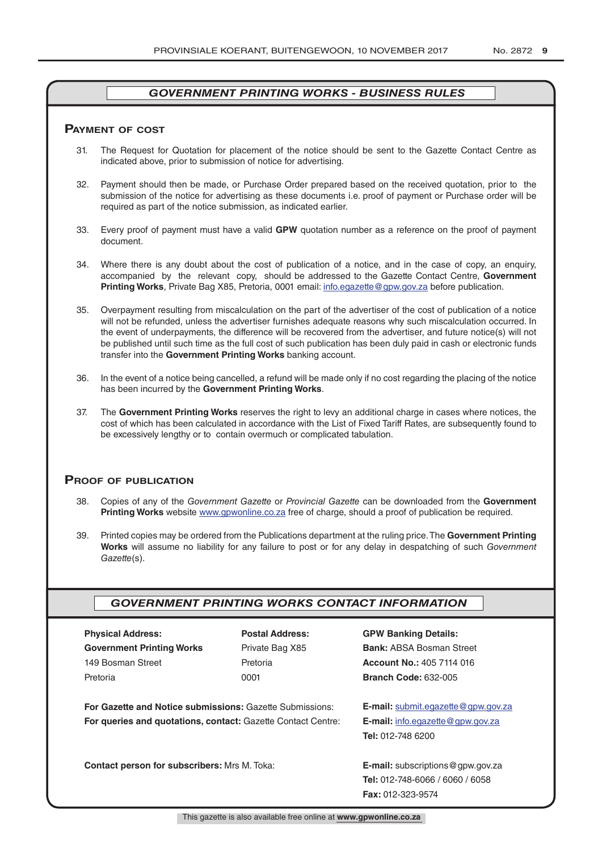#### **pAymenT of CosT**

- 31. The Request for Quotation for placement of the notice should be sent to the Gazette Contact Centre as indicated above, prior to submission of notice for advertising.
- 32. Payment should then be made, or Purchase Order prepared based on the received quotation, prior to the submission of the notice for advertising as these documents i.e. proof of payment or Purchase order will be required as part of the notice submission, as indicated earlier.
- 33. Every proof of payment must have a valid **GPW** quotation number as a reference on the proof of payment document.
- 34. Where there is any doubt about the cost of publication of a notice, and in the case of copy, an enquiry, accompanied by the relevant copy, should be addressed to the Gazette Contact Centre, **Government Printing Works**, Private Bag X85, Pretoria, 0001 email: info.egazette@gpw.gov.za before publication.
- 35. Overpayment resulting from miscalculation on the part of the advertiser of the cost of publication of a notice will not be refunded, unless the advertiser furnishes adequate reasons why such miscalculation occurred. In the event of underpayments, the difference will be recovered from the advertiser, and future notice(s) will not be published until such time as the full cost of such publication has been duly paid in cash or electronic funds transfer into the **Government Printing Works** banking account.
- 36. In the event of a notice being cancelled, a refund will be made only if no cost regarding the placing of the notice has been incurred by the **Government Printing Works**.
- 37. The **Government Printing Works** reserves the right to levy an additional charge in cases where notices, the cost of which has been calculated in accordance with the List of Fixed Tariff Rates, are subsequently found to be excessively lengthy or to contain overmuch or complicated tabulation.

#### **proof of publiCATion**

- 38. Copies of any of the *Government Gazette* or *Provincial Gazette* can be downloaded from the **Government Printing Works** website www.gpwonline.co.za free of charge, should a proof of publication be required.
- 39. Printed copies may be ordered from the Publications department at the ruling price. The **Government Printing Works** will assume no liability for any failure to post or for any delay in despatching of such *Government Gazette*(s).

# *GOVERNMENT PRINTING WORKS CONTACT INFORMATION*

| <b>Physical Address:</b>         |  |  |  |  |
|----------------------------------|--|--|--|--|
| <b>Government Printing Works</b> |  |  |  |  |
| 149 Bosman Street                |  |  |  |  |
| Pretoria                         |  |  |  |  |

**For Gazette and Notice submissions:** Gazette Submissions: **E-mail:** submit.egazette@gpw.gov.za **For queries and quotations, contact:** Gazette Contact Centre: **E-mail:** info.egazette@gpw.gov.za

**Contact person for subscribers:** Mrs M. Toka: **E-mail:** subscriptions@gpw.gov.za

# **Physical Address: Postal Address: GPW Banking Details:**

Private Bag X85 **Bank:** ABSA Bosman Street 149 Bosman Street Pretoria **Account No.:** 405 7114 016 Pretoria 0001 **Branch Code:** 632-005

**Tel:** 012-748 6200

**Tel:** 012-748-6066 / 6060 / 6058 **Fax:** 012-323-9574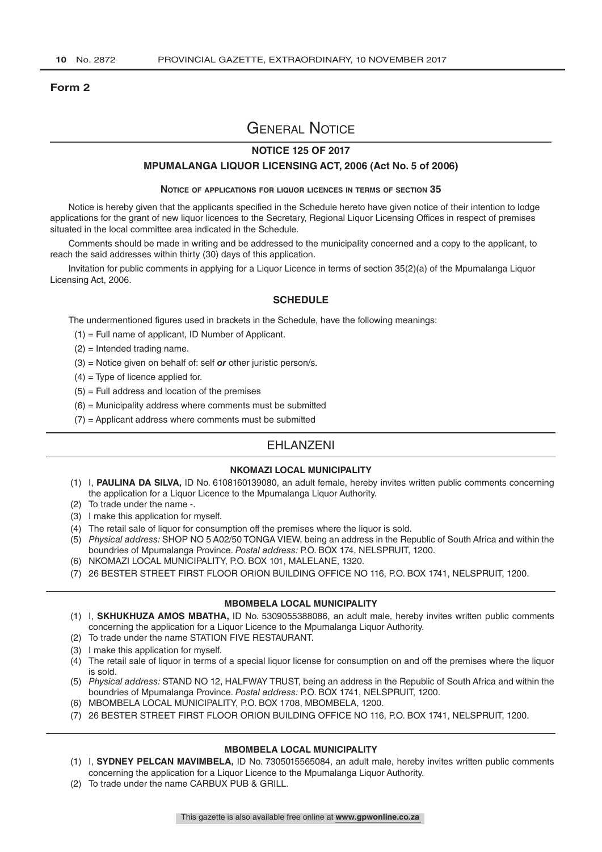#### **Form 2**

# General Notice

### **NOTICE 125 OF 2017**

#### **MPUMALANGA LIQUOR LICENSING ACT, 2006 (Act No. 5 of 2006)**

#### **Notice of applications for liquor licences in terms of section 35**

Notice is hereby given that the applicants specified in the Schedule hereto have given notice of their intention to lodge applications for the grant of new liquor licences to the Secretary, Regional Liquor Licensing Offices in respect of premises situated in the local committee area indicated in the Schedule.

Comments should be made in writing and be addressed to the municipality concerned and a copy to the applicant, to reach the said addresses within thirty (30) days of this application.

Invitation for public comments in applying for a Liquor Licence in terms of section 35(2)(a) of the Mpumalanga Liquor Licensing Act, 2006.

#### **SCHEDULE**

The undermentioned figures used in brackets in the Schedule, have the following meanings:

- (1) = Full name of applicant, ID Number of Applicant.
- (2) = Intended trading name.
- (3) = Notice given on behalf of: self *or* other juristic person/s.
- $(4)$  = Type of licence applied for.
- $(5)$  = Full address and location of the premises
- $(6)$  = Municipality address where comments must be submitted
- $(7)$  = Applicant address where comments must be submitted

# EHLANZENI

#### **NKOMAZI LOCAL MUNICIPALITY**

- (1) I, **PAULINA DA SILVA,** ID No. 6108160139080, an adult female, hereby invites written public comments concerning the application for a Liquor Licence to the Mpumalanga Liquor Authority.
- (2) To trade under the name -.
- (3) I make this application for myself.
- (4) The retail sale of liquor for consumption off the premises where the liquor is sold.
- (5) *Physical address:* SHOP NO 5 A02/50 TONGA VIEW, being an address in the Republic of South Africa and within the boundries of Mpumalanga Province. *Postal address:* P.O. BOX 174, NELSPRUIT, 1200.
- (6) NKOMAZI LOCAL MUNICIPALITY, P.O. BOX 101, MALELANE, 1320.
- (7) 26 BESTER STREET FIRST FLOOR ORION BUILDING OFFICE NO 116, P.O. BOX 1741, NELSPRUIT, 1200.

#### **MBOMBELA LOCAL MUNICIPALITY**

- (1) I, **SKHUKHUZA AMOS MBATHA,** ID No. 5309055388086, an adult male, hereby invites written public comments concerning the application for a Liquor Licence to the Mpumalanga Liquor Authority.
- (2) To trade under the name STATION FIVE RESTAURANT.
- (3) I make this application for myself.
- (4) The retail sale of liquor in terms of a special liquor license for consumption on and off the premises where the liquor is sold.
- (5) *Physical address:* STAND NO 12, HALFWAY TRUST, being an address in the Republic of South Africa and within the boundries of Mpumalanga Province. *Postal address:* P.O. BOX 1741, NELSPRUIT, 1200.
- (6) MBOMBELA LOCAL MUNICIPALITY, P.O. BOX 1708, MBOMBELA, 1200.
- (7) 26 BESTER STREET FIRST FLOOR ORION BUILDING OFFICE NO 116, P.O. BOX 1741, NELSPRUIT, 1200.

#### **MBOMBELA LOCAL MUNICIPALITY**

- (1) I, **SYDNEY PELCAN MAVIMBELA,** ID No. 7305015565084, an adult male, hereby invites written public comments concerning the application for a Liquor Licence to the Mpumalanga Liquor Authority.
- (2) To trade under the name CARBUX PUB & GRILL.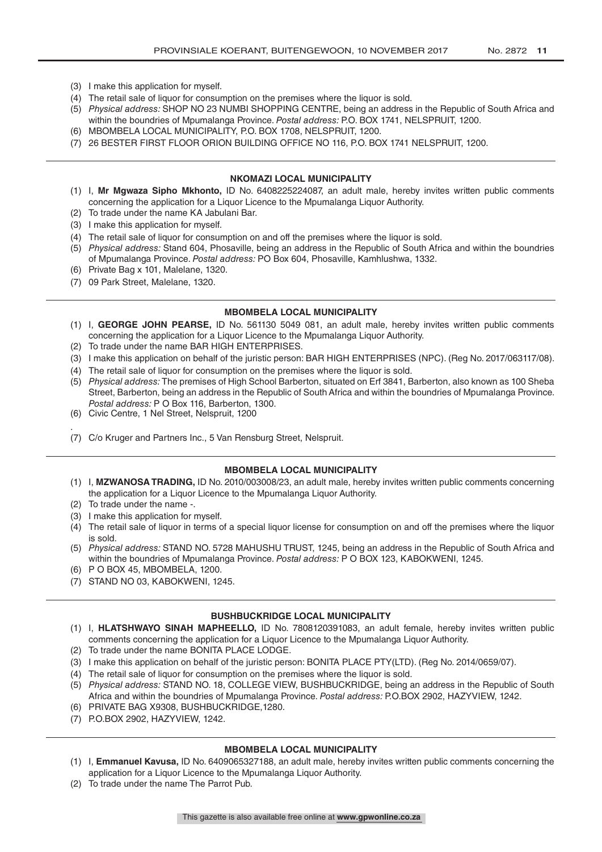- (3) I make this application for myself.
- (4) The retail sale of liquor for consumption on the premises where the liquor is sold.
- (5) *Physical address:* SHOP NO 23 NUMBI SHOPPING CENTRE, being an address in the Republic of South Africa and within the boundries of Mpumalanga Province. *Postal address:* P.O. BOX 1741, NELSPRUIT, 1200.
- (6) MBOMBELA LOCAL MUNICIPALITY, P.O. BOX 1708, NELSPRUIT, 1200.
- (7) 26 BESTER FIRST FLOOR ORION BUILDING OFFICE NO 116, P.O. BOX 1741 NELSPRUIT, 1200.

#### **NKOMAZI LOCAL MUNICIPALITY**

- (1) I, **Mr Mgwaza Sipho Mkhonto,** ID No. 6408225224087, an adult male, hereby invites written public comments concerning the application for a Liquor Licence to the Mpumalanga Liquor Authority.
- (2) To trade under the name KA Jabulani Bar.
- (3) I make this application for myself.
- (4) The retail sale of liquor for consumption on and off the premises where the liquor is sold.
- (5) *Physical address:* Stand 604, Phosaville, being an address in the Republic of South Africa and within the boundries of Mpumalanga Province. *Postal address:* PO Box 604, Phosaville, Kamhlushwa, 1332.
- (6) Private Bag x 101, Malelane, 1320.
- (7) 09 Park Street, Malelane, 1320.

#### **MBOMBELA LOCAL MUNICIPALITY**

- (1) I, **GEORGE JOHN PEARSE,** ID No. 561130 5049 081, an adult male, hereby invites written public comments concerning the application for a Liquor Licence to the Mpumalanga Liquor Authority.
- (2) To trade under the name BAR HIGH ENTERPRISES.
- (3) I make this application on behalf of the juristic person: BAR HIGH ENTERPRISES (NPC). (Reg No. 2017/063117/08).
- (4) The retail sale of liquor for consumption on the premises where the liquor is sold.
- (5) *Physical address:* The premises of High School Barberton, situated on Erf 3841, Barberton, also known as 100 Sheba Street, Barberton, being an address in the Republic of South Africa and within the boundries of Mpumalanga Province. *Postal address:* P O Box 116, Barberton, 1300.
- (6) Civic Centre, 1 Nel Street, Nelspruit, 1200
- (7) C/o Kruger and Partners Inc., 5 Van Rensburg Street, Nelspruit.

#### **MBOMBELA LOCAL MUNICIPALITY**

- (1) I, **MZWANOSA TRADING,** ID No. 2010/003008/23, an adult male, hereby invites written public comments concerning the application for a Liquor Licence to the Mpumalanga Liquor Authority.
- (2) To trade under the name -.

.

- (3) I make this application for myself.
- (4) The retail sale of liquor in terms of a special liquor license for consumption on and off the premises where the liquor is sold.
- (5) *Physical address:* STAND NO. 5728 MAHUSHU TRUST, 1245, being an address in the Republic of South Africa and within the boundries of Mpumalanga Province. *Postal address:* P O BOX 123, KABOKWENI, 1245.
- (6) P O BOX 45, MBOMBELA, 1200.
- (7) STAND NO 03, KABOKWENI, 1245.

#### **BUSHBUCKRIDGE LOCAL MUNICIPALITY**

- (1) I, **HLATSHWAYO SINAH MAPHEELLO,** ID No. 7808120391083, an adult female, hereby invites written public comments concerning the application for a Liquor Licence to the Mpumalanga Liquor Authority.
- (2) To trade under the name BONITA PLACE LODGE.
- (3) I make this application on behalf of the juristic person: BONITA PLACE PTY(LTD). (Reg No. 2014/0659/07).
- (4) The retail sale of liquor for consumption on the premises where the liquor is sold.
- (5) *Physical address:* STAND NO. 18, COLLEGE VIEW, BUSHBUCKRIDGE, being an address in the Republic of South Africa and within the boundries of Mpumalanga Province. *Postal address:* P.O.BOX 2902, HAZYVIEW, 1242.
- (6) PRIVATE BAG X9308, BUSHBUCKRIDGE,1280. (7) P.O.BOX 2902, HAZYVIEW, 1242.

#### **MBOMBELA LOCAL MUNICIPALITY**

- (1) I, **Emmanuel Kavusa,** ID No. 6409065327188, an adult male, hereby invites written public comments concerning the application for a Liquor Licence to the Mpumalanga Liquor Authority.
- (2) To trade under the name The Parrot Pub.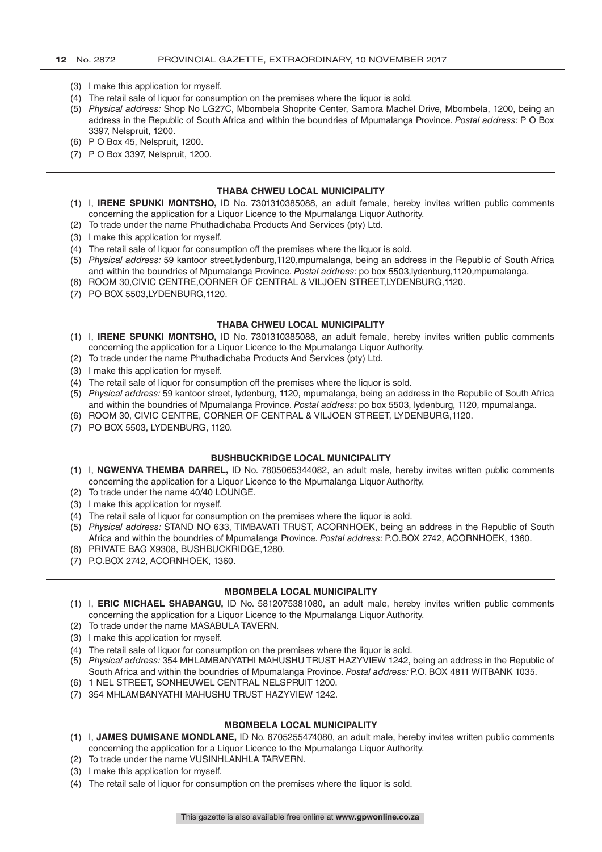- (3) I make this application for myself.
- (4) The retail sale of liquor for consumption on the premises where the liquor is sold.
- (5) *Physical address:* Shop No LG27C, Mbombela Shoprite Center, Samora Machel Drive, Mbombela, 1200, being an address in the Republic of South Africa and within the boundries of Mpumalanga Province. *Postal address:* P O Box 3397, Nelspruit, 1200.
- (6) P O Box 45, Nelspruit, 1200.
- (7) P O Box 3397, Nelspruit, 1200.

#### **THABA CHWEU LOCAL MUNICIPALITY**

- (1) I, **IRENE SPUNKI MONTSHO,** ID No. 7301310385088, an adult female, hereby invites written public comments concerning the application for a Liquor Licence to the Mpumalanga Liquor Authority.
- (2) To trade under the name Phuthadichaba Products And Services (pty) Ltd.
- (3) I make this application for myself.
- (4) The retail sale of liquor for consumption off the premises where the liquor is sold.
- (5) *Physical address:* 59 kantoor street,lydenburg,1120,mpumalanga, being an address in the Republic of South Africa and within the boundries of Mpumalanga Province. *Postal address:* po box 5503,lydenburg,1120,mpumalanga.
- (6) ROOM 30,CIVIC CENTRE,CORNER OF CENTRAL & VILJOEN STREET,LYDENBURG,1120.
- (7) PO BOX 5503,LYDENBURG,1120.

#### **THABA CHWEU LOCAL MUNICIPALITY**

- (1) I, **IRENE SPUNKI MONTSHO,** ID No. 7301310385088, an adult female, hereby invites written public comments concerning the application for a Liquor Licence to the Mpumalanga Liquor Authority.
- (2) To trade under the name Phuthadichaba Products And Services (pty) Ltd.
- (3) I make this application for myself.
- (4) The retail sale of liquor for consumption off the premises where the liquor is sold.
- (5) *Physical address:* 59 kantoor street, lydenburg, 1120, mpumalanga, being an address in the Republic of South Africa and within the boundries of Mpumalanga Province. *Postal address:* po box 5503, lydenburg, 1120, mpumalanga.
- (6) ROOM 30, CIVIC CENTRE, CORNER OF CENTRAL & VILJOEN STREET, LYDENBURG,1120.
- (7) PO BOX 5503, LYDENBURG, 1120.

#### **BUSHBUCKRIDGE LOCAL MUNICIPALITY**

- (1) I, **NGWENYA THEMBA DARREL,** ID No. 7805065344082, an adult male, hereby invites written public comments concerning the application for a Liquor Licence to the Mpumalanga Liquor Authority.
- (2) To trade under the name 40/40 LOUNGE.
- (3) I make this application for myself.
- (4) The retail sale of liquor for consumption on the premises where the liquor is sold.
- (5) *Physical address:* STAND NO 633, TIMBAVATI TRUST, ACORNHOEK, being an address in the Republic of South Africa and within the boundries of Mpumalanga Province. *Postal address:* P.O.BOX 2742, ACORNHOEK, 1360.
- (6) PRIVATE BAG X9308, BUSHBUCKRIDGE,1280.
- (7) P.O.BOX 2742, ACORNHOEK, 1360.

#### **MBOMBELA LOCAL MUNICIPALITY**

- (1) I, **ERIC MICHAEL SHABANGU,** ID No. 5812075381080, an adult male, hereby invites written public comments concerning the application for a Liquor Licence to the Mpumalanga Liquor Authority.
- (2) To trade under the name MASABULA TAVERN.
- (3) I make this application for myself.
- (4) The retail sale of liquor for consumption on the premises where the liquor is sold.
- (5) *Physical address:* 354 MHLAMBANYATHI MAHUSHU TRUST HAZYVIEW 1242, being an address in the Republic of South Africa and within the boundries of Mpumalanga Province. *Postal address:* P.O. BOX 4811 WITBANK 1035.
- (6) 1 NEL STREET, SONHEUWEL CENTRAL NELSPRUIT 1200.
- (7) 354 MHLAMBANYATHI MAHUSHU TRUST HAZYVIEW 1242.

#### **MBOMBELA LOCAL MUNICIPALITY**

- (1) I, **JAMES DUMISANE MONDLANE,** ID No. 6705255474080, an adult male, hereby invites written public comments concerning the application for a Liquor Licence to the Mpumalanga Liquor Authority.
- (2) To trade under the name VUSINHLANHLA TARVERN.
- (3) I make this application for myself.
- (4) The retail sale of liquor for consumption on the premises where the liquor is sold.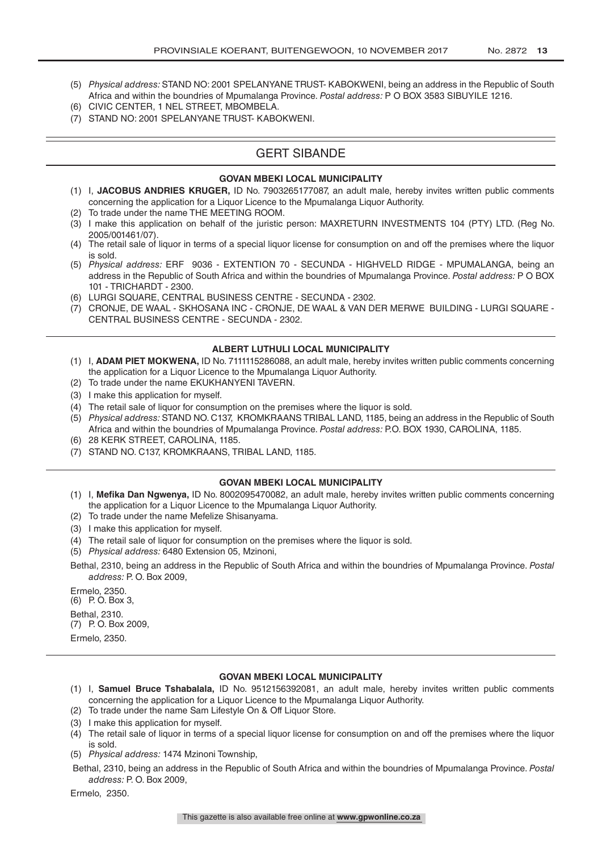- (5) *Physical address:* STAND NO: 2001 SPELANYANE TRUST- KABOKWENI, being an address in the Republic of South Africa and within the boundries of Mpumalanga Province. *Postal address:* P O BOX 3583 SIBUYILE 1216.
- (6) CIVIC CENTER, 1 NEL STREET, MBOMBELA.
- (7) STAND NO: 2001 SPELANYANE TRUST- KABOKWENI.

# GERT SIBANDE

#### **GOVAN MBEKI LOCAL MUNICIPALITY**

- (1) I, **JACOBUS ANDRIES KRUGER,** ID No. 7903265177087, an adult male, hereby invites written public comments concerning the application for a Liquor Licence to the Mpumalanga Liquor Authority.
- (2) To trade under the name THE MEETING ROOM.
- (3) I make this application on behalf of the juristic person: MAXRETURN INVESTMENTS 104 (PTY) LTD. (Reg No. 2005/001461/07).
- (4) The retail sale of liquor in terms of a special liquor license for consumption on and off the premises where the liquor is sold.
- (5) *Physical address:* ERF 9036 EXTENTION 70 SECUNDA HIGHVELD RIDGE MPUMALANGA, being an address in the Republic of South Africa and within the boundries of Mpumalanga Province. *Postal address:* P O BOX 101 - TRICHARDT - 2300.
- (6) LURGI SQUARE, CENTRAL BUSINESS CENTRE SECUNDA 2302.
- (7) CRONJE, DE WAAL SKHOSANA INC CRONJE, DE WAAL & VAN DER MERWE BUILDING LURGI SQUARE CENTRAL BUSINESS CENTRE - SECUNDA - 2302.

#### **ALBERT LUTHULI LOCAL MUNICIPALITY**

- (1) I, **ADAM PIET MOKWENA,** ID No. 7111115286088, an adult male, hereby invites written public comments concerning the application for a Liquor Licence to the Mpumalanga Liquor Authority.
- (2) To trade under the name EKUKHANYENI TAVERN.
- (3) I make this application for myself.
- (4) The retail sale of liquor for consumption on the premises where the liquor is sold.
- (5) *Physical address:* STAND NO. C137, KROMKRAANS TRIBAL LAND, 1185, being an address in the Republic of South Africa and within the boundries of Mpumalanga Province. *Postal address:* P.O. BOX 1930, CAROLINA, 1185. (6) 28 KERK STREET, CAROLINA, 1185.
- (7) STAND NO. C137, KROMKRAANS, TRIBAL LAND, 1185.

#### **GOVAN MBEKI LOCAL MUNICIPALITY**

- (1) I, **Mefika Dan Ngwenya,** ID No. 8002095470082, an adult male, hereby invites written public comments concerning the application for a Liquor Licence to the Mpumalanga Liquor Authority.
- (2) To trade under the name Mefelize Shisanyama.
- (3) I make this application for myself.
- (4) The retail sale of liquor for consumption on the premises where the liquor is sold.
- (5) *Physical address:* 6480 Extension 05, Mzinoni,
- Bethal, 2310, being an address in the Republic of South Africa and within the boundries of Mpumalanga Province. *Postal address:* P. O. Box 2009,

Ermelo, 2350. (6) P. O. Box 3, Bethal, 2310. (7) P. O. Box 2009, Ermelo, 2350.

#### **GOVAN MBEKI LOCAL MUNICIPALITY**

- (1) I, **Samuel Bruce Tshabalala,** ID No. 9512156392081, an adult male, hereby invites written public comments concerning the application for a Liquor Licence to the Mpumalanga Liquor Authority.
- (2) To trade under the name Sam Lifestyle On & Off Liquor Store.
- (3) I make this application for myself.
- (4) The retail sale of liquor in terms of a special liquor license for consumption on and off the premises where the liquor is sold.
- (5) *Physical address:* 1474 Mzinoni Township,
- Bethal, 2310, being an address in the Republic of South Africa and within the boundries of Mpumalanga Province. *Postal address:* P. O. Box 2009,

Ermelo, 2350.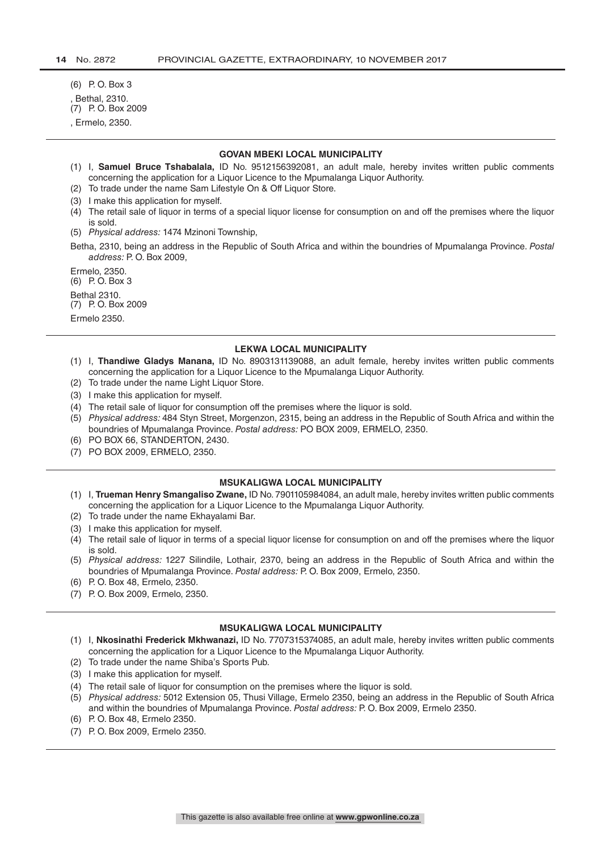(6) P. O. Box 3 , Bethal, 2310. (7) P. O. Box 2009 , Ermelo, 2350.

#### **GOVAN MBEKI LOCAL MUNICIPALITY**

- (1) I, **Samuel Bruce Tshabalala,** ID No. 9512156392081, an adult male, hereby invites written public comments concerning the application for a Liquor Licence to the Mpumalanga Liquor Authority.
- (2) To trade under the name Sam Lifestyle On & Off Liquor Store.
- (3) I make this application for myself.
- (4) The retail sale of liquor in terms of a special liquor license for consumption on and off the premises where the liquor is sold.
- (5) *Physical address:* 1474 Mzinoni Township,
- Betha, 2310, being an address in the Republic of South Africa and within the boundries of Mpumalanga Province. *Postal address:* P. O. Box 2009,

Ermelo, 2350. (6) P. O. Box 3 Bethal 2310. (7) P. O. Box 2009 Ermelo 2350.

#### **LEKWA LOCAL MUNICIPALITY**

- (1) I, **Thandiwe Gladys Manana,** ID No. 8903131139088, an adult female, hereby invites written public comments concerning the application for a Liquor Licence to the Mpumalanga Liquor Authority.
- (2) To trade under the name Light Liquor Store.
- (3) I make this application for myself.
- (4) The retail sale of liquor for consumption off the premises where the liquor is sold.
- (5) *Physical address:* 484 Styn Street, Morgenzon, 2315, being an address in the Republic of South Africa and within the boundries of Mpumalanga Province. *Postal address:* PO BOX 2009, ERMELO, 2350.
- (6) PO BOX 66, STANDERTON, 2430.
- (7) PO BOX 2009, ERMELO, 2350.

#### **MSUKALIGWA LOCAL MUNICIPALITY**

- (1) I, **Trueman Henry Smangaliso Zwane,** ID No. 7901105984084, an adult male, hereby invites written public comments concerning the application for a Liquor Licence to the Mpumalanga Liquor Authority.
- (2) To trade under the name Ekhayalami Bar.
- (3) I make this application for myself.
- (4) The retail sale of liquor in terms of a special liquor license for consumption on and off the premises where the liquor is sold.
- (5) *Physical address:* 1227 Silindile, Lothair, 2370, being an address in the Republic of South Africa and within the boundries of Mpumalanga Province. *Postal address:* P. O. Box 2009, Ermelo, 2350.
- (6) P. O. Box 48, Ermelo, 2350.
- (7) P. O. Box 2009, Ermelo, 2350.

#### **MSUKALIGWA LOCAL MUNICIPALITY**

- (1) I, **Nkosinathi Frederick Mkhwanazi,** ID No. 7707315374085, an adult male, hereby invites written public comments concerning the application for a Liquor Licence to the Mpumalanga Liquor Authority.
- (2) To trade under the name Shiba's Sports Pub.
- (3) I make this application for myself.
- (4) The retail sale of liquor for consumption on the premises where the liquor is sold.
- (5) *Physical address:* 5012 Extension 05, Thusi Village, Ermelo 2350, being an address in the Republic of South Africa and within the boundries of Mpumalanga Province. *Postal address:* P. O. Box 2009, Ermelo 2350.
- (6) P. O. Box 48, Ermelo 2350.
- (7) P. O. Box 2009, Ermelo 2350.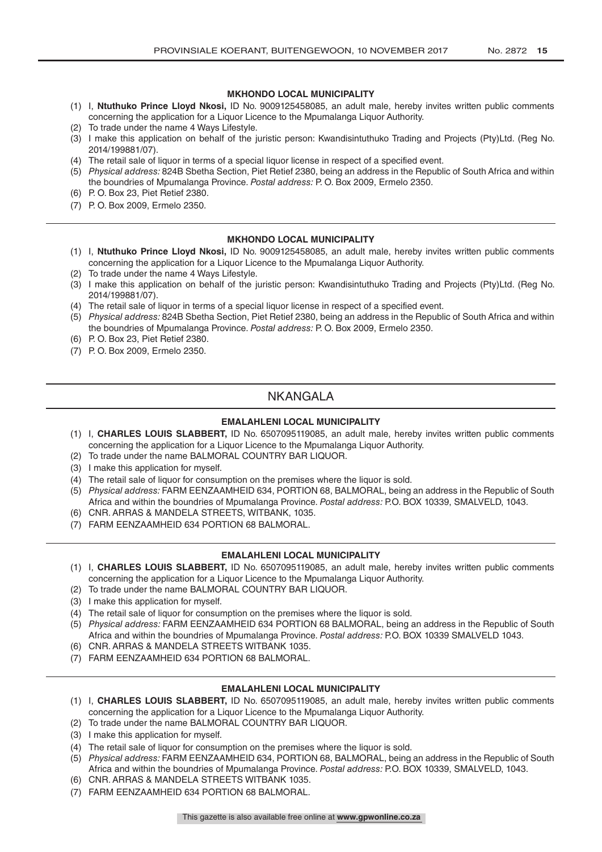#### **MKHONDO LOCAL MUNICIPALITY**

- (1) I, **Ntuthuko Prince Lloyd Nkosi,** ID No. 9009125458085, an adult male, hereby invites written public comments concerning the application for a Liquor Licence to the Mpumalanga Liquor Authority.
- (2) To trade under the name 4 Ways Lifestyle.
- (3) I make this application on behalf of the juristic person: Kwandisintuthuko Trading and Projects (Pty)Ltd. (Reg No. 2014/199881/07).
- (4) The retail sale of liquor in terms of a special liquor license in respect of a specified event.
- (5) *Physical address:* 824B Sbetha Section, Piet Retief 2380, being an address in the Republic of South Africa and within the boundries of Mpumalanga Province. *Postal address:* P. O. Box 2009, Ermelo 2350.
- (6) P. O. Box 23, Piet Retief 2380.
- (7) P. O. Box 2009, Ermelo 2350.

#### **MKHONDO LOCAL MUNICIPALITY**

- (1) I, **Ntuthuko Prince Lloyd Nkosi,** ID No. 9009125458085, an adult male, hereby invites written public comments concerning the application for a Liquor Licence to the Mpumalanga Liquor Authority.
- (2) To trade under the name 4 Ways Lifestyle.
- (3) I make this application on behalf of the juristic person: Kwandisintuthuko Trading and Projects (Pty)Ltd. (Reg No. 2014/199881/07).
- (4) The retail sale of liquor in terms of a special liquor license in respect of a specified event.
- (5) *Physical address:* 824B Sbetha Section, Piet Retief 2380, being an address in the Republic of South Africa and within the boundries of Mpumalanga Province. *Postal address:* P. O. Box 2009, Ermelo 2350.
- (6) P. O. Box 23, Piet Retief 2380.
- (7) P. O. Box 2009, Ermelo 2350.

# NKANGALA

#### **EMALAHLENI LOCAL MUNICIPALITY**

- (1) I, **CHARLES LOUIS SLABBERT,** ID No. 6507095119085, an adult male, hereby invites written public comments concerning the application for a Liquor Licence to the Mpumalanga Liquor Authority.
- (2) To trade under the name BALMORAL COUNTRY BAR LIQUOR.
- (3) I make this application for myself.
- (4) The retail sale of liquor for consumption on the premises where the liquor is sold.
- (5) *Physical address:* FARM EENZAAMHEID 634, PORTION 68, BALMORAL, being an address in the Republic of South Africa and within the boundries of Mpumalanga Province. *Postal address:* P.O. BOX 10339, SMALVELD, 1043.
- (6) CNR. ARRAS & MANDELA STREETS, WITBANK, 1035.
- (7) FARM EENZAAMHEID 634 PORTION 68 BALMORAL.

#### **EMALAHLENI LOCAL MUNICIPALITY**

- (1) I, **CHARLES LOUIS SLABBERT,** ID No. 6507095119085, an adult male, hereby invites written public comments concerning the application for a Liquor Licence to the Mpumalanga Liquor Authority.
- (2) To trade under the name BALMORAL COUNTRY BAR LIQUOR.
- (3) I make this application for myself.
- (4) The retail sale of liquor for consumption on the premises where the liquor is sold.
- (5) *Physical address:* FARM EENZAAMHEID 634 PORTION 68 BALMORAL, being an address in the Republic of South Africa and within the boundries of Mpumalanga Province. *Postal address:* P.O. BOX 10339 SMALVELD 1043.
- (6) CNR. ARRAS & MANDELA STREETS WITBANK 1035.
- (7) FARM EENZAAMHEID 634 PORTION 68 BALMORAL.

#### **EMALAHLENI LOCAL MUNICIPALITY**

- (1) I, **CHARLES LOUIS SLABBERT,** ID No. 6507095119085, an adult male, hereby invites written public comments concerning the application for a Liquor Licence to the Mpumalanga Liquor Authority.
- (2) To trade under the name BALMORAL COUNTRY BAR LIQUOR.
- (3) I make this application for myself.
- (4) The retail sale of liquor for consumption on the premises where the liquor is sold.
- (5) *Physical address:* FARM EENZAAMHEID 634, PORTION 68, BALMORAL, being an address in the Republic of South Africa and within the boundries of Mpumalanga Province. *Postal address:* P.O. BOX 10339, SMALVELD, 1043.
- (6) CNR. ARRAS & MANDELA STREETS WITBANK 1035.
- (7) FARM EENZAAMHEID 634 PORTION 68 BALMORAL.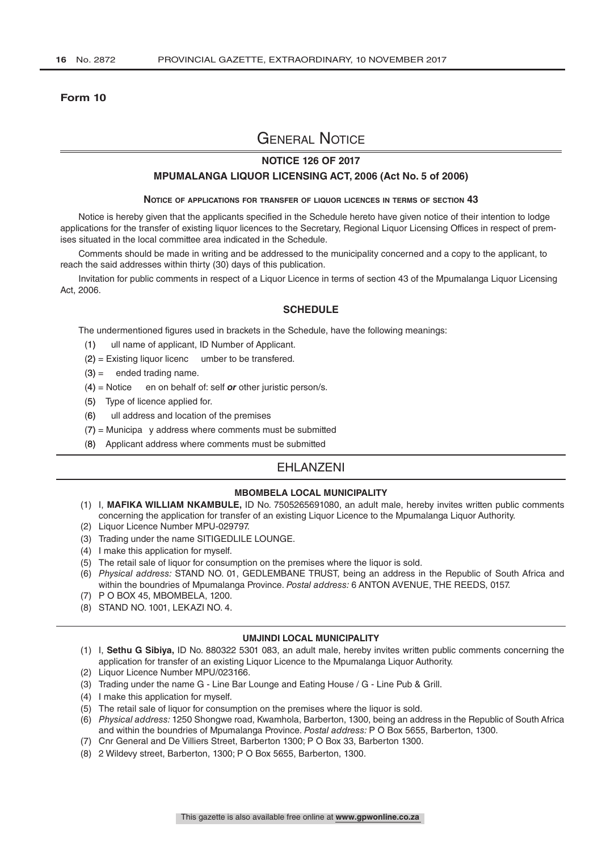#### **Form 10**

# GENERAL NOTICE

### **NOTICE 126 OF 2017**

#### **MPUMALANGA LIQUOR LICENSING ACT, 2006 (Act No. 5 of 2006)**

#### **Notice of applicatioNs for traNsfer of liquor liceNces iN terms of sectioN 43**

Notice is hereby given that the applicants specified in the Schedule hereto have given notice of their intention to lodge applications for the transfer of existing liquor licences to the Secretary, Regional Liquor Licensing Offices in respect of premises situated in the local committee area indicated in the Schedule.

Comments should be made in writing and be addressed to the municipality concerned and a copy to the applicant, to reach the said addresses within thirty (30) days of this publication.

Invitation for public comments in respect of a Liquor Licence in terms of section 43 of the Mpumalanga Liquor Licensing Act, 2006.

#### **SCHEDULE**

The undermentioned figures used in brackets in the Schedule, have the following meanings:

- (1) ull name of applicant, ID Number of Applicant.
- $(2)$  = Existing liquor licenc umber to be transfered.

 $(3) =$  ended trading name.

- (4) = Notice en on behalf of: self *or* other juristic person/s.
- (5) Type of licence applied for.
- (6) ull address and location of the premises
- (7) = Municipa y address where comments must be submitted
- (8) Applicant address where comments must be submitted

#### EHLANZENI

#### **MBOMBELA LOCAL MUNICIPALITY**

- (1) I, **MAFIKA WILLIAM NKAMBULE,** ID No. 7505265691080, an adult male, hereby invites written public comments concerning the application for transfer of an existing Liquor Licence to the Mpumalanga Liquor Authority.
- (2) Liquor Licence Number MPU-029797.
- (3) Trading under the name SITIGEDLILE LOUNGE.
- (4) I make this application for myself.
- (5) The retail sale of liquor for consumption on the premises where the liquor is sold.
- (6) *Physical address:* STAND NO. 01, GEDLEMBANE TRUST, being an address in the Republic of South Africa and within the boundries of Mpumalanga Province. *Postal address:* 6 ANTON AVENUE, THE REEDS, 0157.
- (7) P O BOX 45, MBOMBELA, 1200.
- (8) STAND NO. 1001, LEKAZI NO. 4.

#### **UMJINDI LOCAL MUNICIPALITY**

- (1) I, **Sethu G Sibiya,** ID No. 880322 5301 083, an adult male, hereby invites written public comments concerning the application for transfer of an existing Liquor Licence to the Mpumalanga Liquor Authority.
- (2) Liquor Licence Number MPU/023166.
- (3) Trading under the name G Line Bar Lounge and Eating House / G Line Pub & Grill.
- (4) I make this application for myself.
- (5) The retail sale of liquor for consumption on the premises where the liquor is sold.
- (6) *Physical address:* 1250 Shongwe road, Kwamhola, Barberton, 1300, being an address in the Republic of South Africa and within the boundries of Mpumalanga Province. *Postal address:* P O Box 5655, Barberton, 1300.
- (7) Cnr General and De Villiers Street, Barberton 1300; P O Box 33, Barberton 1300.
- (8) 2 Wildevy street, Barberton, 1300; P O Box 5655, Barberton, 1300.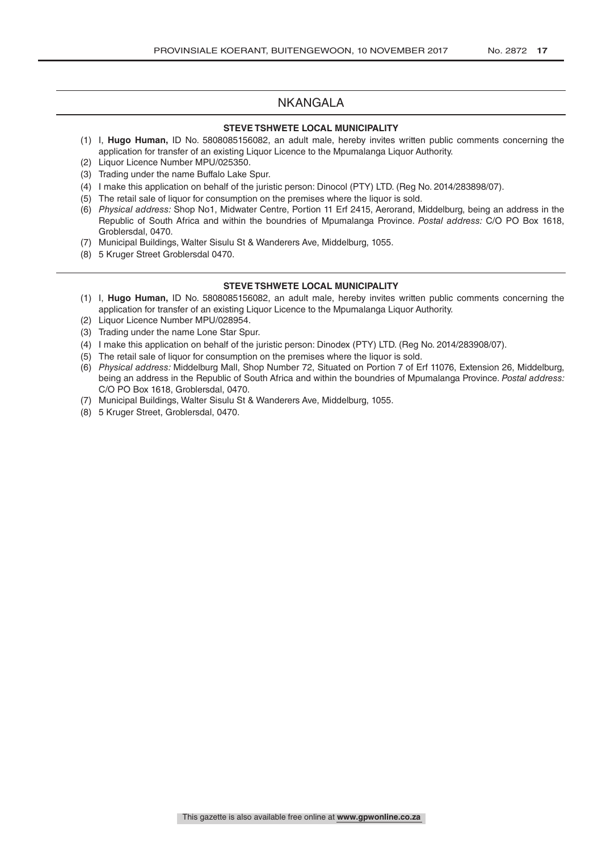# **NKANGALA**

#### **STEVE TSHWETE LOCAL MUNICIPALITY**

- (1) I, **Hugo Human,** ID No. 5808085156082, an adult male, hereby invites written public comments concerning the application for transfer of an existing Liquor Licence to the Mpumalanga Liquor Authority.
- (2) Liquor Licence Number MPU/025350.
- (3) Trading under the name Buffalo Lake Spur.
- (4) I make this application on behalf of the juristic person: Dinocol (PTY) LTD. (Reg No. 2014/283898/07).
- (5) The retail sale of liquor for consumption on the premises where the liquor is sold.
- (6) *Physical address:* Shop No1, Midwater Centre, Portion 11 Erf 2415, Aerorand, Middelburg, being an address in the Republic of South Africa and within the boundries of Mpumalanga Province. *Postal address:* C/O PO Box 1618, Groblersdal, 0470.
- (7) Municipal Buildings, Walter Sisulu St & Wanderers Ave, Middelburg, 1055.
- (8) 5 Kruger Street Groblersdal 0470.

#### **STEVE TSHWETE LOCAL MUNICIPALITY**

- (1) I, **Hugo Human,** ID No. 5808085156082, an adult male, hereby invites written public comments concerning the application for transfer of an existing Liquor Licence to the Mpumalanga Liquor Authority.
- (2) Liquor Licence Number MPU/028954.
- (3) Trading under the name Lone Star Spur.
- (4) I make this application on behalf of the juristic person: Dinodex (PTY) LTD. (Reg No. 2014/283908/07).
- (5) The retail sale of liquor for consumption on the premises where the liquor is sold.
- (6) *Physical address:* Middelburg Mall, Shop Number 72, Situated on Portion 7 of Erf 11076, Extension 26, Middelburg, being an address in the Republic of South Africa and within the boundries of Mpumalanga Province. *Postal address:* C/O PO Box 1618, Groblersdal, 0470.
- (7) Municipal Buildings, Walter Sisulu St & Wanderers Ave, Middelburg, 1055.
- (8) 5 Kruger Street, Groblersdal, 0470.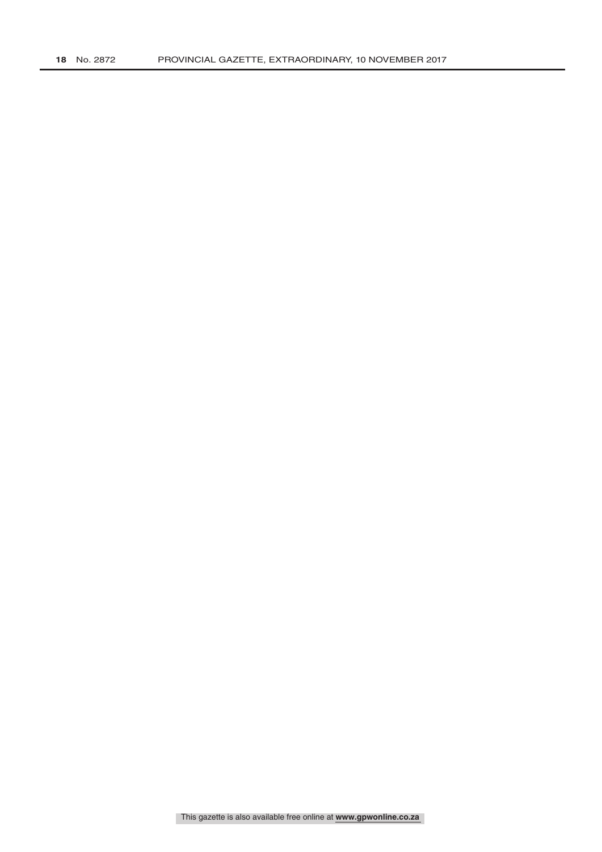This gazette is also available free online at **www.gpwonline.co.za**